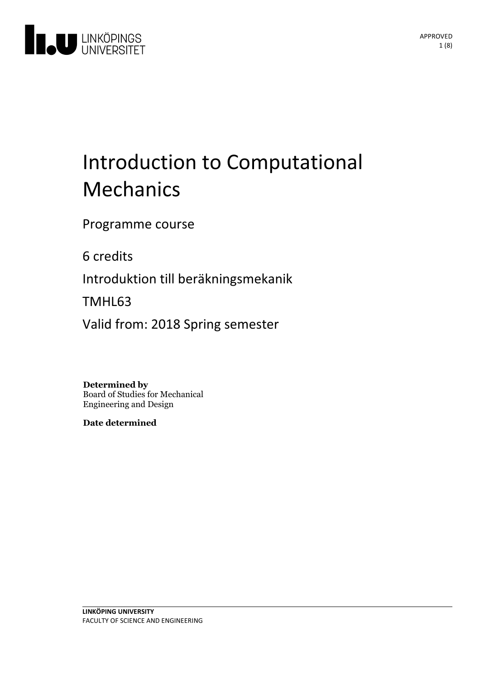

# Introduction to Computational Mechanics

Programme course

6 credits

Introduktion till beräkningsmekanik

TMHL63

Valid from: 2018 Spring semester

**Determined by** Board of Studies for Mechanical Engineering and Design

**Date determined**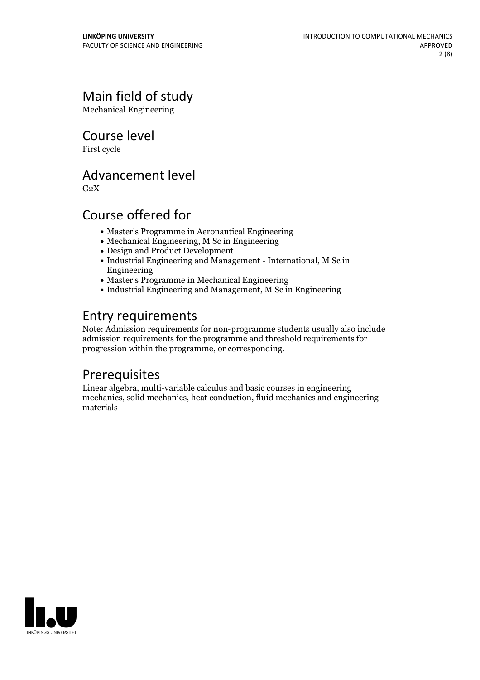# Main field of study

Mechanical Engineering

Course level

First cycle

### Advancement level

 $G<sub>2</sub>X$ 

# Course offered for

- Master's Programme in Aeronautical Engineering
- Mechanical Engineering, M Sc in Engineering
- Design and Product Development
- Industrial Engineering and Management International, M Sc in Engineering
- Master's Programme in Mechanical Engineering
- Industrial Engineering and Management, M Sc in Engineering

# Entry requirements

Note: Admission requirements for non-programme students usually also include admission requirements for the programme and threshold requirements for progression within the programme, or corresponding.

# **Prerequisites**

Linear algebra, multi-variable calculus and basic courses in engineering mechanics, solid mechanics, heat conduction, fluid mechanics and engineering materials

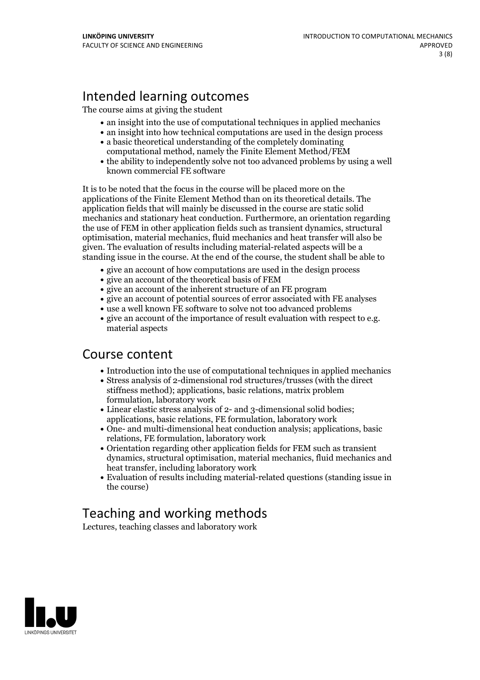# Intended learning outcomes

The course aims at giving the student

- an insight into the use of computational techniques in applied mechanics
- an insight into how technical computations are used in the design process
- a basic theoretical understanding of the completely dominating computational method, namely the Finite Element Method/FEM
- the ability to independently solve not too advanced problems by using a well known commercial FE software

It is to be noted that the focus in the course will be placed more on the applications of the Finite Element Method than on its theoretical details. The application fields that will mainly be discussed in the course are static solid mechanics and stationary heat conduction. Furthermore, an orientation regarding the use of FEM in other application fields such as transient dynamics, structural optimisation, material mechanics, fluid mechanics and heat transfer will also be given. The evaluation of results including material-related aspects will be a standing issue in the course. At the end of the course, the student shall be able to

- give an account of how computations are used in the design process
- give an account of the theoretical basis of FEM
- give an account of the inherent structure of an FE program
- give an account of potential sources of error associated with FE analyses
- use a well known FE software to solve not too advanced problems
- $\bullet$  give an account of the importance of result evaluation with respect to e.g. material aspects

### Course content

- Introduction into the use of computational techniques in applied mechanics
- Stress analysis of 2-dimensional rod structures/trusses (with the direct stiffness method); applications, basic relations, matrix problem formulation, laboratory work
- Linear elastic stress analysis of 2- and 3-dimensional solid bodies; applications, basic relations, FE formulation, laboratory work
- One- and multi-dimensional heat conduction analysis; applications, basic relations, FE formulation, laboratory work
- Orientation regarding other application fields for FEM such as transient dynamics, structural optimisation, material mechanics, fluid mechanics and heat transfer, including laboratory work
- Evaluation of results including material-related questions (standing issue in the course)

# Teaching and working methods

Lectures, teaching classes and laboratory work

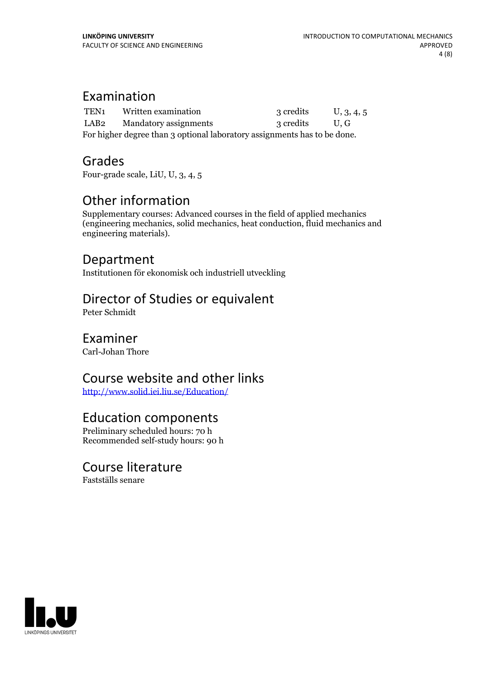### Examination

| TEN1                                                                     | Written examination   | 3 credits | U, 3, 4, 5  |
|--------------------------------------------------------------------------|-----------------------|-----------|-------------|
| LAB2                                                                     | Mandatory assignments | 3 credits | $U_{\rm c}$ |
| For higher degree than 3 optional laboratory assignments has to be done. |                       |           |             |

### Grades

Four-grade scale, LiU, U, 3, 4, 5

# Other information

Supplementary courses: Advanced courses in the field of applied mechanics (engineering mechanics, solid mechanics, heat conduction, fluid mechanics and engineering materials).

### Department

Institutionen för ekonomisk och industriell utveckling

# Director of Studies or equivalent

Peter Schmidt

### Examiner

Carl-Johan Thore

# Course website and other links

<http://www.solid.iei.liu.se/Education/>

### Education components

Preliminary scheduled hours: 70 h Recommended self-study hours: 90 h

### Course literature

Fastställs senare

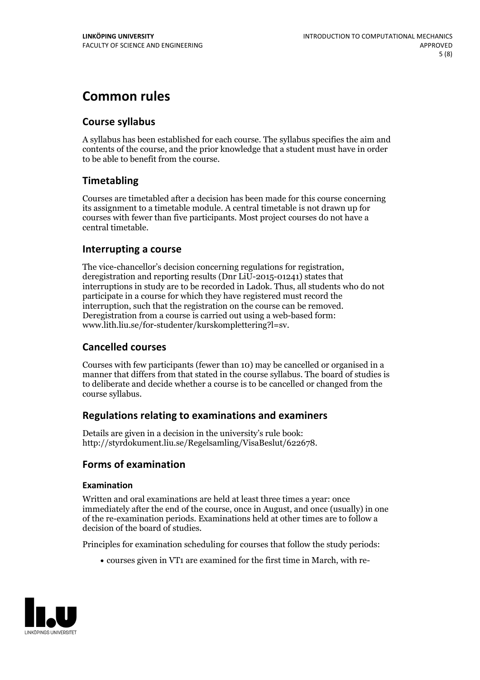# **Common rules**

### **Course syllabus**

A syllabus has been established for each course. The syllabus specifies the aim and contents of the course, and the prior knowledge that a student must have in order to be able to benefit from the course.

### **Timetabling**

Courses are timetabled after a decision has been made for this course concerning its assignment to a timetable module. A central timetable is not drawn up for courses with fewer than five participants. Most project courses do not have a central timetable.

### **Interrupting a course**

The vice-chancellor's decision concerning regulations for registration, deregistration and reporting results (Dnr LiU-2015-01241) states that interruptions in study are to be recorded in Ladok. Thus, all students who do not participate in a course for which they have registered must record the interruption, such that the registration on the course can be removed. Deregistration from <sup>a</sup> course is carried outusing <sup>a</sup> web-based form: www.lith.liu.se/for-studenter/kurskomplettering?l=sv.

### **Cancelled courses**

Courses with few participants (fewer than 10) may be cancelled or organised in a manner that differs from that stated in the course syllabus. The board of studies is to deliberate and decide whether a course is to be cancelled orchanged from the course syllabus.

### **Regulations relatingto examinations and examiners**

Details are given in a decision in the university's rule book: http://styrdokument.liu.se/Regelsamling/VisaBeslut/622678.

### **Forms of examination**

#### **Examination**

Written and oral examinations are held at least three times a year: once immediately after the end of the course, once in August, and once (usually) in one of the re-examination periods. Examinations held at other times are to follow a decision of the board of studies.

Principles for examination scheduling for courses that follow the study periods:

courses given in VT1 are examined for the first time in March, with re-

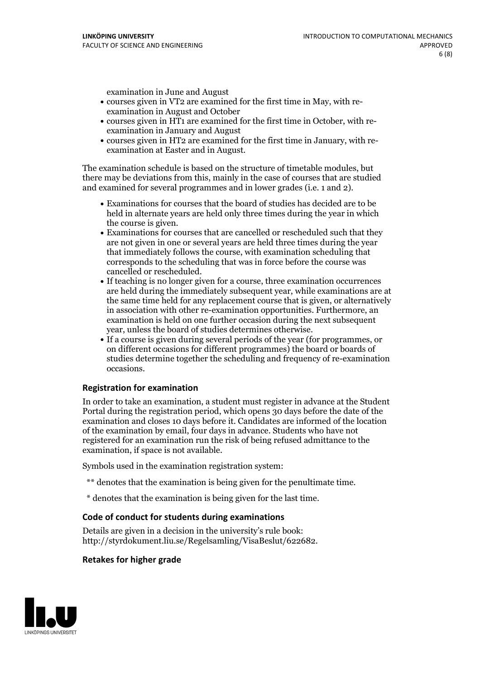examination in June and August

- courses given in VT2 are examined for the first time in May, with re-examination in August and October
- courses given in HT1 are examined for the first time in October, with re-examination in January and August
- courses given in HT2 are examined for the first time in January, with re-examination at Easter and in August.

The examination schedule is based on the structure of timetable modules, but there may be deviations from this, mainly in the case of courses that are studied and examined for several programmes and in lower grades (i.e. 1 and 2).

- Examinations for courses that the board of studies has decided are to be held in alternate years are held only three times during the year in which
- the course is given.<br>• Examinations for courses that are cancelled or rescheduled such that they are not given in one or several years are held three times during the year that immediately follows the course, with examination scheduling that corresponds to the scheduling that was in force before the course was cancelled or rescheduled.<br>• If teaching is no longer given for a course, three examination occurrences
- are held during the immediately subsequent year, while examinations are at the same time held for any replacement course that is given, or alternatively in association with other re-examination opportunities. Furthermore, an examination is held on one further occasion during the next subsequent year, unless the board of studies determines otherwise.<br>• If a course is given during several periods of the year (for programmes, or
- on different occasions for different programmes) the board orboards of studies determine together the scheduling and frequency of re-examination occasions.

#### **Registration for examination**

In order to take an examination, a student must register in advance at the Student Portal during the registration period, which opens 30 days before the date of the examination and closes 10 days before it. Candidates are informed of the location of the examination by email, four days in advance. Students who have not registered for an examination run the risk of being refused admittance to the examination, if space is not available.

Symbols used in the examination registration system:

- \*\* denotes that the examination is being given for the penultimate time.
- \* denotes that the examination is being given for the last time.

#### **Code of conduct for students during examinations**

Details are given in a decision in the university's rule book: http://styrdokument.liu.se/Regelsamling/VisaBeslut/622682.

### **Retakes for higher grade**

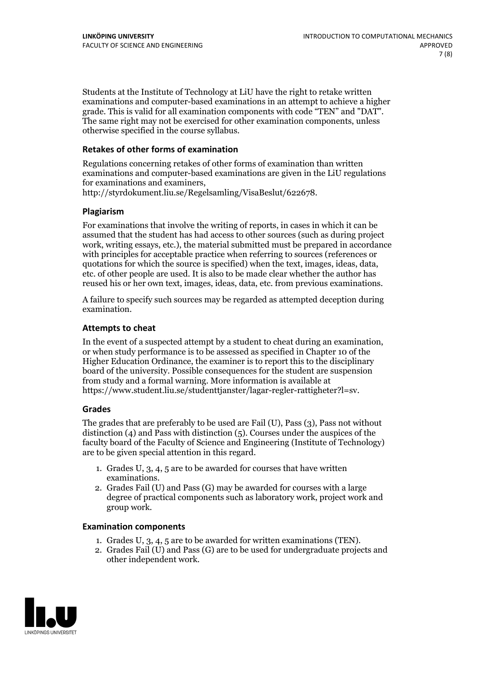Students at the Institute of Technology at LiU have the right to retake written examinations and computer-based examinations in an attempt to achieve a higher grade. This is valid for all examination components with code "TEN" and "DAT". The same right may not be exercised for other examination components, unless otherwise specified in the course syllabus.

### **Retakes of other forms of examination**

Regulations concerning retakes of other forms of examination than written examinations and computer-based examinations are given in the LiU regulations for examinations and examiners, http://styrdokument.liu.se/Regelsamling/VisaBeslut/622678.

#### **Plagiarism**

For examinations that involve the writing of reports, in cases in which it can be assumed that the student has had access to other sources (such as during project work, writing essays, etc.), the material submitted must be prepared in accordance with principles for acceptable practice when referring to sources (references or quotations for which the source is specified) when the text, images, ideas, data, etc. of other people are used. It is also to be made clear whether the author has reused his or her own text, images, ideas, data, etc. from previous examinations.

A failure to specify such sources may be regarded as attempted deception during examination.

#### **Attempts to cheat**

In the event of <sup>a</sup> suspected attempt by <sup>a</sup> student to cheat during an examination, or when study performance is to be assessed as specified in Chapter <sup>10</sup> of the Higher Education Ordinance, the examiner is to report this to the disciplinary board of the university. Possible consequences for the student are suspension from study and a formal warning. More information is available at https://www.student.liu.se/studenttjanster/lagar-regler-rattigheter?l=sv.

#### **Grades**

The grades that are preferably to be used are Fail (U), Pass (3), Pass not without distinction  $(4)$  and Pass with distinction  $(5)$ . Courses under the auspices of the faculty board of the Faculty of Science and Engineering (Institute of Technology) are to be given special attention in this regard.

- 1. Grades U, 3, 4, 5 are to be awarded for courses that have written
- examinations. 2. Grades Fail (U) and Pass (G) may be awarded for courses with <sup>a</sup> large degree of practical components such as laboratory work, project work and group work.

#### **Examination components**

- 
- 1. Grades U, 3, 4, <sup>5</sup> are to be awarded for written examinations (TEN). 2. Grades Fail (U) and Pass (G) are to be used for undergraduate projects and other independent work.